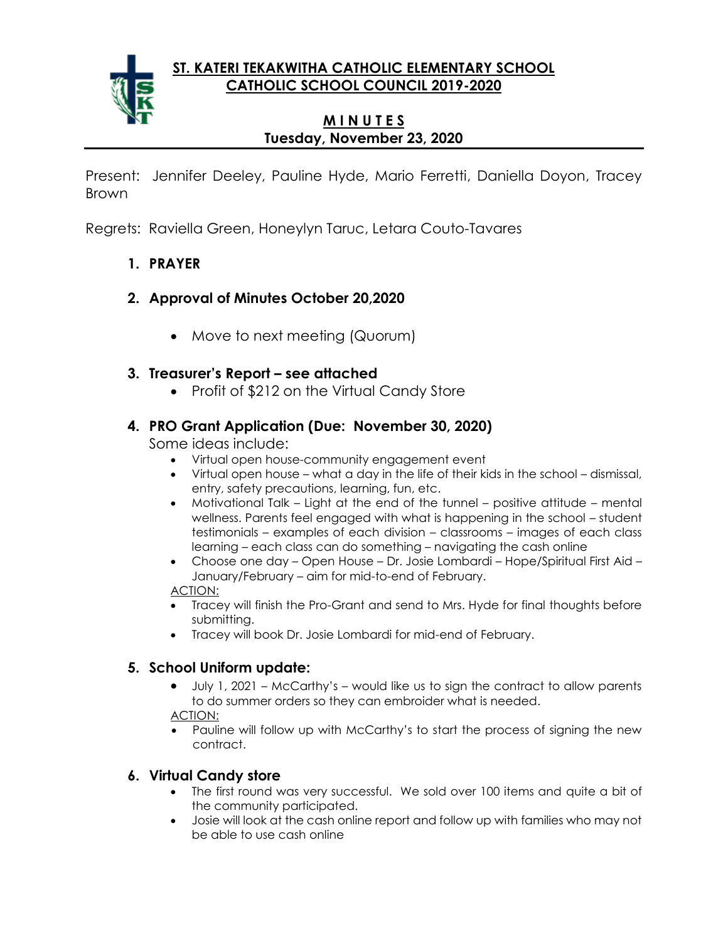**ST. KATERI TEKAKWITHA CATHOLIC ELEMENTARY SCHOOL CATHOLIC SCHOOL COUNCIL 2019-2020**



## **M I N U T E S Tuesday, November 23, 2020**

Present: Jennifer Deeley, Pauline Hyde, Mario Ferretti, Daniella Doyon, Tracey Brown

Regrets: Raviella Green, Honeylyn Taruc, Letara Couto-Tavares

- **1. PRAYER**
- **2. Approval of Minutes October 20,2020**
	- Move to next meeting (Quorum)

## **3. Treasurer's Report – see attached**

• Profit of \$212 on the Virtual Candy Store

# **4. PRO Grant Application (Due: November 30, 2020)**

Some ideas include:

- Virtual open house-community engagement event
- Virtual open house what a day in the life of their kids in the school dismissal, entry, safety precautions, learning, fun, etc.
- Motivational Talk Light at the end of the tunnel positive attitude mental wellness. Parents feel engaged with what is happening in the school – student testimonials – examples of each division – classrooms – images of each class learning – each class can do something – navigating the cash online
- Choose one day Open House Dr. Josie Lombardi Hope/Spiritual First Aid January/February – aim for mid-to-end of February.

## ACTION:

- Tracey will finish the Pro-Grant and send to Mrs. Hyde for final thoughts before submitting.
- Tracey will book Dr. Josie Lombardi for mid-end of February.

## **5. School Uniform update:**

• July 1, 2021 – McCarthy's – would like us to sign the contract to allow parents to do summer orders so they can embroider what is needed.

ACTION:

• Pauline will follow up with McCarthy's to start the process of signing the new contract.

# **6. Virtual Candy store**

- The first round was very successful. We sold over 100 items and quite a bit of the community participated.
- Josie will look at the cash online report and follow up with families who may not be able to use cash online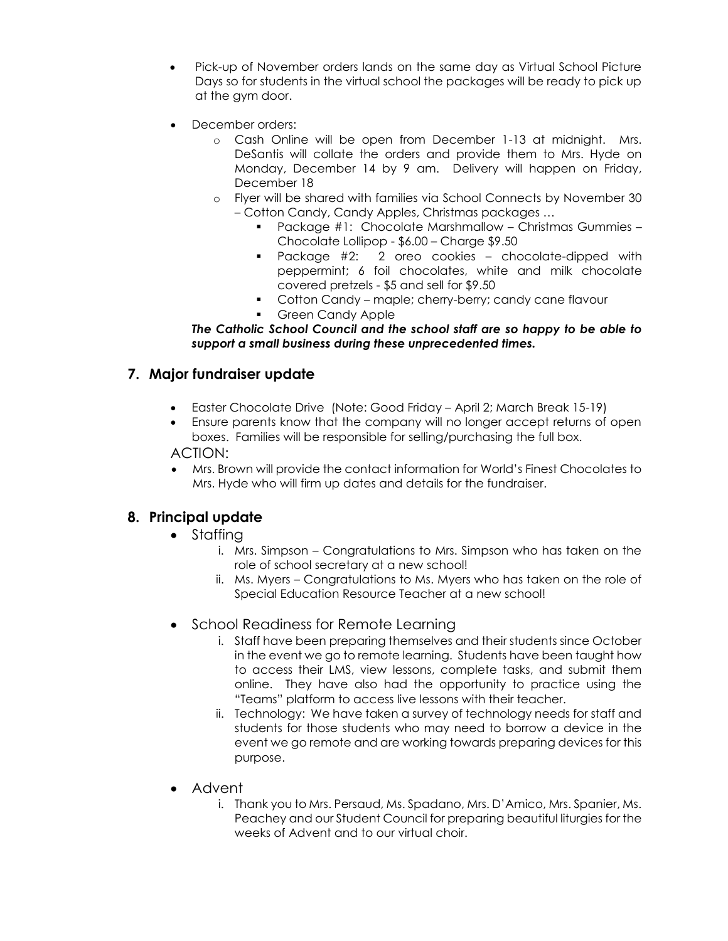- Pick-up of November orders lands on the same day as Virtual School Picture Days so for students in the virtual school the packages will be ready to pick up at the gym door.
- December orders:
	- o Cash Online will be open from December 1-13 at midnight. Mrs. DeSantis will collate the orders and provide them to Mrs. Hyde on Monday, December 14 by 9 am. Delivery will happen on Friday, December 18
	- o Flyer will be shared with families via School Connects by November 30 – Cotton Candy, Candy Apples, Christmas packages …
		- Package #1: Chocolate Marshmallow Christmas Gummies -Chocolate Lollipop - \$6.00 – Charge \$9.50
		- Package #2: 2 oreo cookies chocolate-dipped with peppermint; 6 foil chocolates, white and milk chocolate covered pretzels - \$5 and sell for \$9.50
		- Cotton Candy maple; cherry-berry; candy cane flavour
		- **Green Candy Apple**

*The Catholic School Council and the school staff are so happy to be able to support a small business during these unprecedented times.*

## **7. Major fundraiser update**

- Easter Chocolate Drive (Note: Good Friday April 2; March Break 15-19)
- Ensure parents know that the company will no longer accept returns of open boxes. Families will be responsible for selling/purchasing the full box.

#### ACTION:

• Mrs. Brown will provide the contact information for World's Finest Chocolates to Mrs. Hyde who will firm up dates and details for the fundraiser.

## **8. Principal update**

- Staffing
	- i. Mrs. Simpson Congratulations to Mrs. Simpson who has taken on the role of school secretary at a new school!
	- ii. Ms. Myers Congratulations to Ms. Myers who has taken on the role of Special Education Resource Teacher at a new school!
- School Readiness for Remote Learning
	- i. Staff have been preparing themselves and their students since October in the event we go to remote learning. Students have been taught how to access their LMS, view lessons, complete tasks, and submit them online. They have also had the opportunity to practice using the "Teams" platform to access live lessons with their teacher.
	- ii. Technology: We have taken a survey of technology needs for staff and students for those students who may need to borrow a device in the event we go remote and are working towards preparing devices for this purpose.
- Advent
	- i. Thank you to Mrs. Persaud, Ms. Spadano, Mrs. D'Amico, Mrs. Spanier, Ms. Peachey and our Student Council for preparing beautiful liturgies for the weeks of Advent and to our virtual choir.